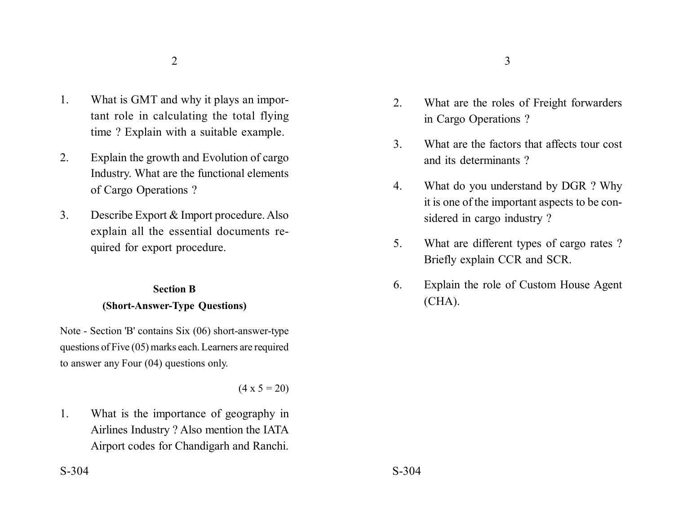- 1. What is GMT and why it plays an important role in calculating the total flying time ? Explain with a suitable example.
- 2. Explain the growth and Evolution of cargo Industry. What are the functional elements of Cargo Operations ?
- 3. Describe Export & Import procedure. Also explain all the essential documents required for export procedure.

## **Section B (Short-Answer-Type Questions)**

Note - Section 'B' contains Six (06) short-answer-type questions of Five (05) marks each. Learners are required to answer any Four (04) questions only.

 $(4 \times 5 = 20)$ 

1. What is the importance of geography in Airlines Industry ? Also mention the IATA Airport codes for Chandigarh and Ranchi.

- 2. What are the roles of Freight forwarders in Cargo Operations ?
- 3. What are the factors that affects tour cost and its determinants ?
- 4. What do you understand by DGR ? Why it is one of the important aspects to be considered in cargo industry ?
- 5. What are different types of cargo rates ? Briefly explain CCR and SCR.
- 6. Explain the role of Custom House Agent (CHA).